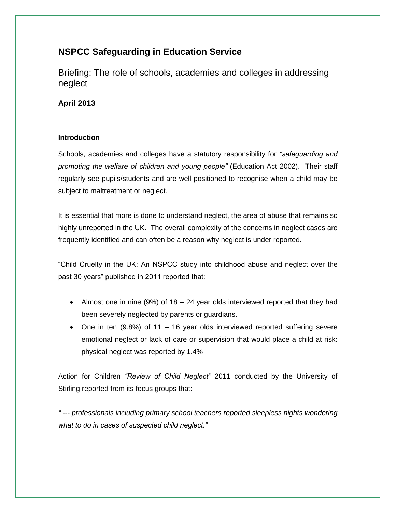# **NSPCC Safeguarding in Education Service**

Briefing: The role of schools, academies and colleges in addressing neglect

# **April 2013**

# **Introduction**

Schools, academies and colleges have a statutory responsibility for *"safeguarding and promoting the welfare of children and young people"* (Education Act 2002). Their staff regularly see pupils/students and are well positioned to recognise when a child may be subject to maltreatment or neglect.

It is essential that more is done to understand neglect, the area of abuse that remains so highly unreported in the UK. The overall complexity of the concerns in neglect cases are frequently identified and can often be a reason why neglect is under reported.

"Child Cruelty in the UK: An NSPCC study into childhood abuse and neglect over the past 30 years" published in 2011 reported that:

- Almost one in nine (9%) of 18 24 year olds interviewed reported that they had been severely neglected by parents or guardians.
- One in ten (9.8%) of 11 16 year olds interviewed reported suffering severe emotional neglect or lack of care or supervision that would place a child at risk: physical neglect was reported by 1.4%

Action for Children *"Review of Child Neglect"* 2011 conducted by the University of Stirling reported from its focus groups that:

*" --- professionals including primary school teachers reported sleepless nights wondering what to do in cases of suspected child neglect."*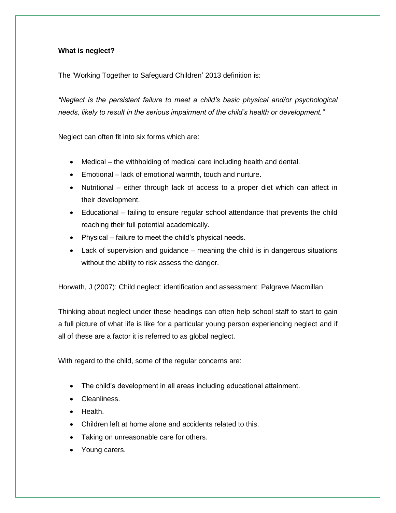# **What is neglect?**

The 'Working Together to Safeguard Children' 2013 definition is:

*"Neglect is the persistent failure to meet a child"s basic physical and/or psychological needs, likely to result in the serious impairment of the child"s health or development."* 

Neglect can often fit into six forms which are:

- Medical the withholding of medical care including health and dental.
- Emotional lack of emotional warmth, touch and nurture.
- Nutritional either through lack of access to a proper diet which can affect in their development.
- Educational failing to ensure regular school attendance that prevents the child reaching their full potential academically.
- Physical failure to meet the child's physical needs.
- Lack of supervision and guidance meaning the child is in dangerous situations without the ability to risk assess the danger.

Horwath, J (2007): Child neglect: identification and assessment: Palgrave Macmillan

Thinking about neglect under these headings can often help school staff to start to gain a full picture of what life is like for a particular young person experiencing neglect and if all of these are a factor it is referred to as global neglect.

With regard to the child, some of the regular concerns are:

- The child"s development in all areas including educational attainment.
- Cleanliness.
- **•** Health.
- Children left at home alone and accidents related to this.
- Taking on unreasonable care for others.
- Young carers.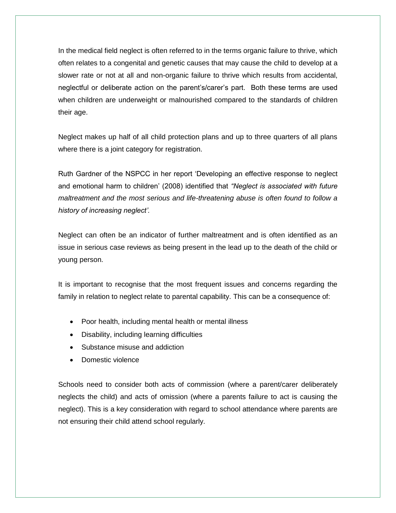In the medical field neglect is often referred to in the terms organic failure to thrive, which often relates to a congenital and genetic causes that may cause the child to develop at a slower rate or not at all and non-organic failure to thrive which results from accidental, neglectful or deliberate action on the parent"s/carer"s part. Both these terms are used when children are underweight or malnourished compared to the standards of children their age.

Neglect makes up half of all child protection plans and up to three quarters of all plans where there is a joint category for registration.

Ruth Gardner of the NSPCC in her report "Developing an effective response to neglect and emotional harm to children" (2008) identified that *"Neglect is associated with future maltreatment and the most serious and life-threatening abuse is often found to follow a history of increasing neglect".*

Neglect can often be an indicator of further maltreatment and is often identified as an issue in serious case reviews as being present in the lead up to the death of the child or young person.

It is important to recognise that the most frequent issues and concerns regarding the family in relation to neglect relate to parental capability. This can be a consequence of:

- Poor health, including mental health or mental illness
- Disability, including learning difficulties
- Substance misuse and addiction
- Domestic violence

Schools need to consider both acts of commission (where a parent/carer deliberately neglects the child) and acts of omission (where a parents failure to act is causing the neglect). This is a key consideration with regard to school attendance where parents are not ensuring their child attend school regularly.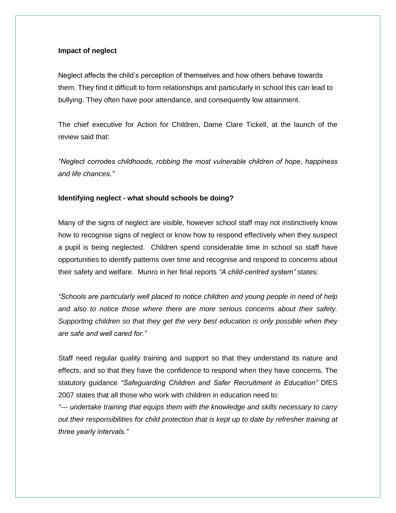### **Impact of neglect**

Neglect affects the child"s perception of themselves and how others behave towards them. They find it difficult to form relationships and particularly in school this can lead to bullying. They often have poor attendance, and consequently low attainment.

The chief executive for Action for Children, Dame Clare Tickell, at the launch of the review said that:

*"Neglect corrodes childhoods, robbing the most vulnerable children of hope, happiness and life chances."* 

#### **Identifying neglect - what should schools be doing?**

Many of the signs of neglect are visible, however school staff may not instinctively know how to recognise signs of neglect or know how to respond effectively when they suspect a pupil is being neglected. Children spend considerable time in school so staff have opportunities to identify patterns over time and recognise and respond to concerns about their safety and welfare. Munro in her final reports *"A child-centred system"* states:

*"Schools are particularly well placed to notice children and young people in need of help and also to notice those where there are more serious concerns about their safety. Supporting children so that they get the very best education is only possible when they are safe and well cared for."* 

Staff need regular quality training and support so that they understand its nature and effects, and so that they have the confidence to respond when they have concerns. The statutory guidance *"Safeguarding Children and Safer Recruitment in Education"* DfES 2007 states that all those who work with children in education need to:

*"--- undertake training that equips them with the knowledge and skills necessary to carry out their responsibilities for child protection that is kept up to date by refresher training at three yearly intervals."*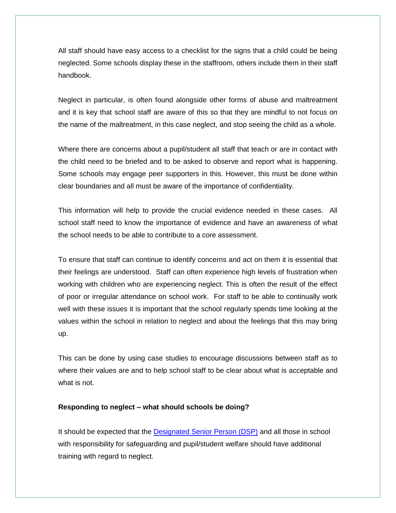All staff should have easy access to a checklist for the signs that a child could be being neglected. Some schools display these in the staffroom, others include them in their staff handbook.

Neglect in particular, is often found alongside other forms of abuse and maltreatment and it is key that school staff are aware of this so that they are mindful to not focus on the name of the maltreatment, in this case neglect, and stop seeing the child as a whole.

Where there are concerns about a pupil/student all staff that teach or are in contact with the child need to be briefed and to be asked to observe and report what is happening. Some schools may engage peer supporters in this. However, this must be done within clear boundaries and all must be aware of the importance of confidentiality.

This information will help to provide the crucial evidence needed in these cases. All school staff need to know the importance of evidence and have an awareness of what the school needs to be able to contribute to a core assessment.

To ensure that staff can continue to identify concerns and act on them it is essential that their feelings are understood. Staff can often experience high levels of frustration when working with children who are experiencing neglect. This is often the result of the effect of poor or irregular attendance on school work. For staff to be able to continually work well with these issues it is important that the school regularly spends time looking at the values within the school in relation to neglect and about the feelings that this may bring up.

This can be done by using case studies to encourage discussions between staff as to where their values are and to help school staff to be clear about what is acceptable and what is not.

#### **Responding to neglect – what should schools be doing?**

It should be expected that the [Designated Senior Person \(DSP\)](http://www.nspcc.org.uk/Inform/resourcesforteachers/designated-sr-person/designated-safeguarding-person_wda86590.html) and all those in school with responsibility for safeguarding and pupil/student welfare should have additional training with regard to neglect.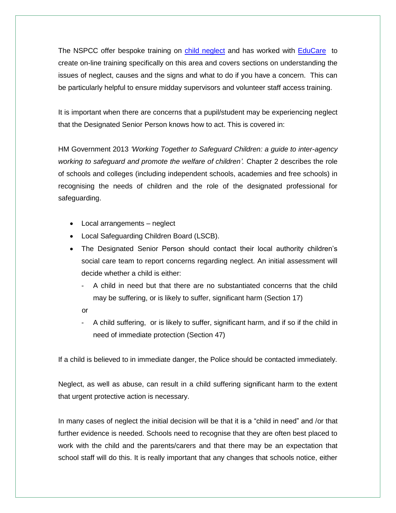The NSPCC offer bespoke training on [child neglect](http://www.nspcc.org.uk/Inform/trainingandconsultancy/training/trainingcourses/childneglect_wda57565.html) and has worked with [EduCare](http://platinum.educare.co.uk/Products/160-nspcc-child-neglect.aspx) to create on-line training specifically on this area and covers sections on understanding the issues of neglect, causes and the signs and what to do if you have a concern. This can be particularly helpful to ensure midday supervisors and volunteer staff access training.

It is important when there are concerns that a pupil/student may be experiencing neglect that the Designated Senior Person knows how to act. This is covered in:

HM Government 2013 *"Working Together to Safeguard Children: a guide to inter-agency working to safeguard and promote the welfare of children".* Chapter 2 describes the role of schools and colleges (including independent schools, academies and free schools) in recognising the needs of children and the role of the designated professional for safeguarding.

- Local arrangements neglect
- Local Safeguarding Children Board (LSCB).
- The Designated Senior Person should contact their local authority children's social care team to report concerns regarding neglect. An initial assessment will decide whether a child is either:
	- A child in need but that there are no substantiated concerns that the child may be suffering, or is likely to suffer, significant harm (Section 17)
	- or
	- A child suffering, or is likely to suffer, significant harm, and if so if the child in need of immediate protection (Section 47)

If a child is believed to in immediate danger, the Police should be contacted immediately.

Neglect, as well as abuse, can result in a child suffering significant harm to the extent that urgent protective action is necessary.

In many cases of neglect the initial decision will be that it is a "child in need" and /or that further evidence is needed. Schools need to recognise that they are often best placed to work with the child and the parents/carers and that there may be an expectation that school staff will do this. It is really important that any changes that schools notice, either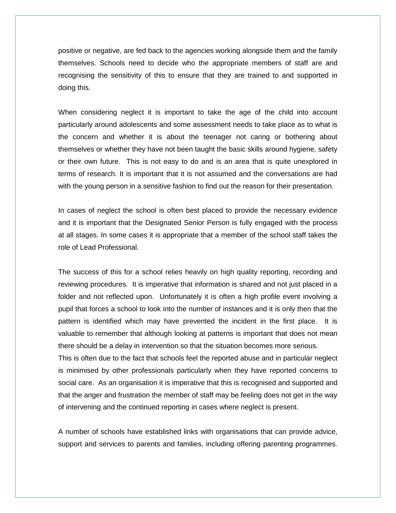positive or negative, are fed back to the agencies working alongside them and the family themselves. Schools need to decide who the appropriate members of staff are and recognising the sensitivity of this to ensure that they are trained to and supported in doing this.

When considering neglect it is important to take the age of the child into account particularly around adolescents and some assessment needs to take place as to what is the concern and whether it is about the teenager not caring or bothering about themselves or whether they have not been taught the basic skills around hygiene, safety or their own future. This is not easy to do and is an area that is quite unexplored in terms of research. It is important that it is not assumed and the conversations are had with the young person in a sensitive fashion to find out the reason for their presentation.

In cases of neglect the school is often best placed to provide the necessary evidence and it is important that the Designated Senior Person is fully engaged with the process at all stages. In some cases it is appropriate that a member of the school staff takes the role of Lead Professional.

The success of this for a school relies heavily on high quality reporting, recording and reviewing procedures. It is imperative that information is shared and not just placed in a folder and not reflected upon. Unfortunately it is often a high profile event involving a pupil that forces a school to look into the number of instances and it is only then that the pattern is identified which may have prevented the incident in the first place. It is valuable to remember that although looking at patterns is important that does not mean there should be a delay in intervention so that the situation becomes more serious. This is often due to the fact that schools feel the reported abuse and in particular neglect is minimised by other professionals particularly when they have reported concerns to social care. As an organisation it is imperative that this is recognised and supported and that the anger and frustration the member of staff may be feeling does not get in the way of intervening and the continued reporting in cases where neglect is present.

A number of schools have established links with organisations that can provide advice, support and services to parents and families, including offering parenting programmes.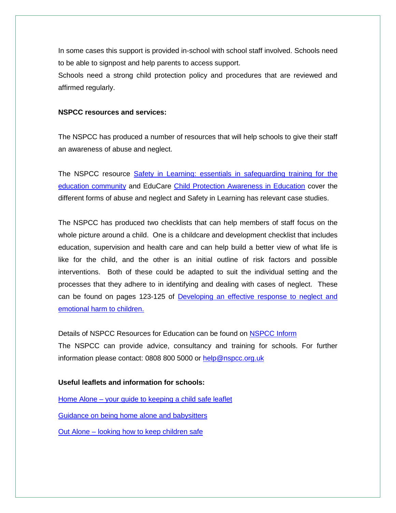In some cases this support is provided in-school with school staff involved. Schools need to be able to signpost and help parents to access support.

Schools need a strong child protection policy and procedures that are reviewed and affirmed regularly.

### **NSPCC resources and services:**

The NSPCC has produced a number of resources that will help schools to give their staff an awareness of abuse and neglect.

The NSPCC resource **Safety in Learning: essentials in safeguarding training for the** [education community](http://www.nspcc.org.uk/inform/trainingandconsultancy/learningresources/safetyinlearning_wda51474.html) and EduCare [Child Protection Awareness in Education](http://www.nspcc.org.uk/Inform/trainingandconsultancy/educare/educareCPAeducation_wda47925.html) cover the different forms of abuse and neglect and Safety in Learning has relevant case studies.

The NSPCC has produced two checklists that can help members of staff focus on the whole picture around a child. One is a childcare and development checklist that includes education, supervision and health care and can help build a better view of what life is like for the child, and the other is an initial outline of risk factors and possible interventions. Both of these could be adapted to suit the individual setting and the processes that they adhere to in identifying and dealing with cases of neglect. These can be found on pages 123-125 of [Developing an effective response to neglect and](http://www.nspcc.org.uk/inform/research/nspccresearch/completedresearch/developinganeffectiveresponsetoneglect_wda56702.html)  [emotional harm to children.](http://www.nspcc.org.uk/inform/research/nspccresearch/completedresearch/developinganeffectiveresponsetoneglect_wda56702.html)

Details of NSPCC Resources for Education can be found on [NSPCC Inform](http://www.nspcc.org.uk/Inform/resourcesforteachers/resourcesforteachers_wda48932.html) The NSPCC can provide advice, consultancy and training for schools. For further information please contact: 0808 800 5000 or [help@nspcc.org.uk](mailto:help@nspcc.org.uk)

### **Useful leaflets and information for schools:**

Home Alone – [your guide to keeping a child safe leaflet](http://www.nspcc.org.uk/inform/publications/home_alone_wda73922.html)

[Guidance on being home alone and babysitters](http://www.nspcc.org.uk/help-and-advice/for-parents-and-carers/positive-parenting/leaving-children-home-alone/leaving-children-home-alone_wda72908.html)

Out Alone – [looking how to keep children safe](http://www.nspcc.org.uk/inform/publications/outalone_wda65316.html)